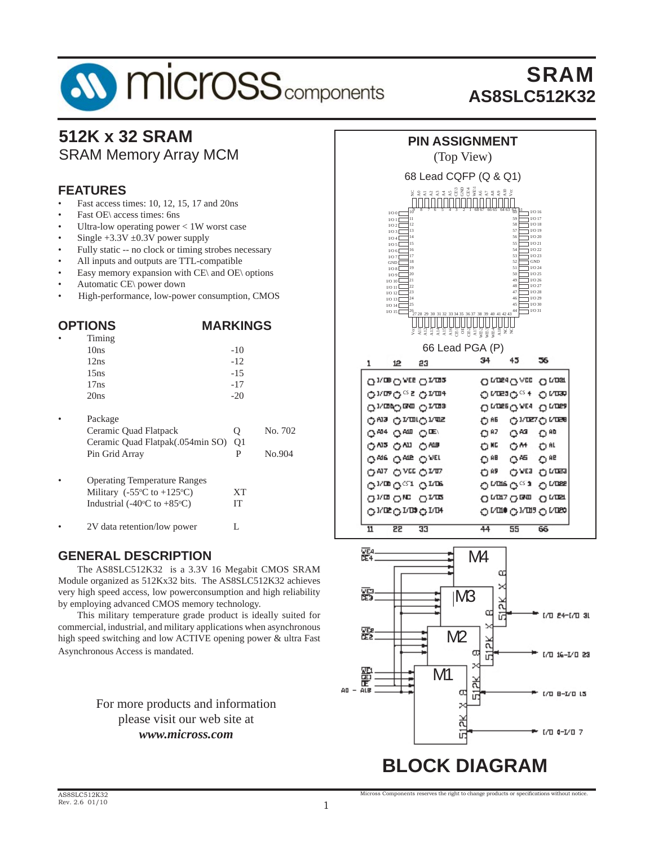# **SV MICrOSS** components

# SRAM **AS8SLC512K32**

#### **512K x 32 SRAM** SRAM Memory Array MCM

#### **FEATURES**

- Fast access times: 10, 12, 15, 17 and 20ns
- Fast OE\ access times: 6ns
- Ultra-low operating power  $< 1W$  worst case
- Single  $+3.3V \pm 0.3V$  power supply
- Fully static -- no clock or timing strobes necessary
- All inputs and outputs are TTL-compatible
- Easy memory expansion with  $CE\$  and  $OE\$  options
- Automatic CE\ power down
- High-performance, low-power consumption, CMOS

| <b>OPTIONS</b> |                                                 | <b>MARKINGS</b> |         |
|----------------|-------------------------------------------------|-----------------|---------|
|                | Timing                                          |                 |         |
|                | 10ns                                            | $-10$           |         |
|                | 12ns                                            | $-12$           |         |
|                | 15ns                                            | $-1.5$          |         |
|                | 17ns                                            | $-17$           |         |
|                | 20ns                                            | $-20$           |         |
|                | Package                                         |                 |         |
|                | Ceramic Quad Flatpack                           | Q               | No. 702 |
|                | Ceramic Quad Flatpak(.054min SO)                | Q <sub>1</sub>  |         |
|                | Pin Grid Array                                  | P               | No.904  |
|                | <b>Operating Temperature Ranges</b>             |                 |         |
|                | Military (-55 $\degree$ C to +125 $\degree$ C)  | <b>XT</b>       |         |
|                | Industrial (-40 $\degree$ C to +85 $\degree$ C) | IT              |         |
|                | 2V data retention/low power                     | L               |         |

#### **GENERAL DESCRIPTION**

 The AS8SLC512K32 is a 3.3V 16 Megabit CMOS SRAM Module organized as 512Kx32 bits. The AS8SLC512K32 achieves very high speed access, low powerconsumption and high reliability by employing advanced CMOS memory technology.

 This military temperature grade product is ideally suited for commercial, industrial, and military applications when asynchronous high speed switching and low ACTIVE opening power & ultra Fast Asynchronous Access is mandated.

#### For more products and information please visit our web site at *www.micross.com*

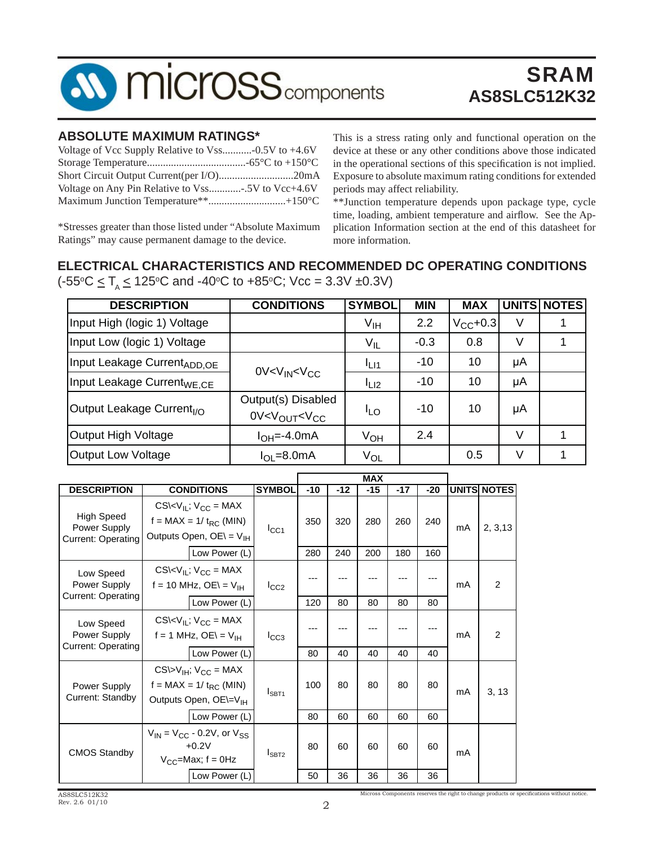

#### **ABSOLUTE MAXIMUM RATINGS\***

| Short Circuit Output Current(per I/O)20mA        |  |
|--------------------------------------------------|--|
| Voltage on Any Pin Relative to Vss5V to Vcc+4.6V |  |
|                                                  |  |

\*Stresses greater than those listed under "Absolute Maximum Ratings" may cause permanent damage to the device.

This is a stress rating only and functional operation on the device at these or any other conditions above those indicated in the operational sections of this specification is not implied. Exposure to absolute maximum rating conditions for extended periods may affect reliability.

\*\*Junction temperature depends upon package type, cycle time, loading, ambient temperature and airflow. See the Application Information section at the end of this datasheet for more information.

#### **ELECTRICAL CHARACTERISTICS AND RECOMMENDED DC OPERATING CONDITIONS** (-55°C  $\leq$  T<sub>A</sub>  $\leq$  125°C and -40°C to +85°C; Vcc = 3.3V ±0.3V)

| <b>DESCRIPTION</b>                      | <b>CONDITIONS</b>                                             | <b>SYMBOL</b>    | <b>MIN</b> | <b>MAX</b>    |    | <b>UNITS NOTES</b> |
|-----------------------------------------|---------------------------------------------------------------|------------------|------------|---------------|----|--------------------|
| Input High (logic 1) Voltage            |                                                               | V <sub>IH</sub>  | 2.2        | $V_{CC}$ +0.3 | ٧  |                    |
| Input Low (logic 1) Voltage             |                                                               | $V_{IL}$         | $-0.3$     | 0.8           | V  |                    |
| Input Leakage Current <sub>ADD.OE</sub> | 0V < V <sub>IN</sub> < V <sub>CC</sub>                        | <sup>I</sup> LI1 | $-10$      | 10            | μA |                    |
| Input Leakage Current <sub>WE.CE</sub>  |                                                               | $L_{L2}$         | $-10$      | 10            | μA |                    |
| Output Leakage Current <sub>I/O</sub>   | Output(s) Disabled<br>0V < V <sub>OUT</sub> < V <sub>CC</sub> | <sup>I</sup> LO  | $-10$      | 10            | μA |                    |
| <b>Output High Voltage</b>              | $I_{OH}=-4.0$ mA                                              | Ѵон              | 2.4        |               | V  |                    |
| <b>Output Low Voltage</b>               | $I_{OL} = 8.0 \text{mA}$                                      | V <sub>OL</sub>  |            | 0.5           | V  |                    |

|                                                                                                                                                   |                                                                                              |               | <b>MAX</b> |       |       |       |       |    |                    |
|---------------------------------------------------------------------------------------------------------------------------------------------------|----------------------------------------------------------------------------------------------|---------------|------------|-------|-------|-------|-------|----|--------------------|
| <b>DESCRIPTION</b>                                                                                                                                | <b>CONDITIONS</b>                                                                            | <b>SYMBOL</b> | $-10$      | $-12$ | $-15$ | $-17$ | $-20$ |    | <b>UNITS NOTES</b> |
| <b>High Speed</b><br>Power Supply<br><b>Current: Operating</b>                                                                                    | $CS\&V_{IL}$ ; $V_{CC}$ = MAX<br>$f = MAX = 1 / t_{RC} (MIN)$<br>Outputs Open, $OE = V_{IH}$ | $I_{\rm CC1}$ | 350        | 320   | 280   | 260   | 240   | mA | 2, 3, 13           |
|                                                                                                                                                   | Low Power (L)                                                                                |               | 280        | 240   | 200   | 180   | 160   |    |                    |
| Low Speed<br>Power Supply                                                                                                                         | $CS\&V_{IL}$ ; $V_{CC}$ = MAX<br>f = 10 MHz, OE\ = $V_{\text{IH}}$                           | $I_{CC2}$     |            |       |       |       |       | mA | 2                  |
| <b>Current: Operating</b>                                                                                                                         | Low Power (L)                                                                                |               | 120        | 80    | 80    | 80    | 80    |    |                    |
| Low Speed<br>Power Supply<br><b>Current: Operating</b>                                                                                            | $CS\&V_{IL}$ ; $V_{CC}$ = MAX<br>$f = 1$ MHz, OE\ = V <sub>IH</sub>                          | $I_{CC3}$     |            |       |       |       |       | mA | 2                  |
|                                                                                                                                                   | Low Power (L)                                                                                |               | 80         | 40    | 40    | 40    | 40    |    |                    |
| $CS\triangleright V_{IH}$ ; $V_{CC}$ = MAX<br>f = MAX = $1/t_{RC}$ (MIN)<br>Power Supply<br>Current: Standby<br>Outputs Open, OE\=V <sub>IH</sub> |                                                                                              | $I_{SBT1}$    | 100        | 80    | 80    | 80    | 80    | mA | 3, 13              |
|                                                                                                                                                   | Low Power (L)                                                                                |               | 80         | 60    | 60    | 60    | 60    |    |                    |
| <b>CMOS Standby</b>                                                                                                                               | $V_{IN}$ = $V_{CC}$ - 0.2V, or $V_{SS}$<br>$+0.2V$<br>$V_{CC}$ =Max; f = 0Hz                 | $I_{SBT2}$    | 80         | 60    | 60    | 60    | 60    | mA |                    |
|                                                                                                                                                   | Low Power (L)                                                                                |               | 50         | 36    | 36    | 36    | 36    |    |                    |

Micross Components reserves the right to change products or specifications without notice.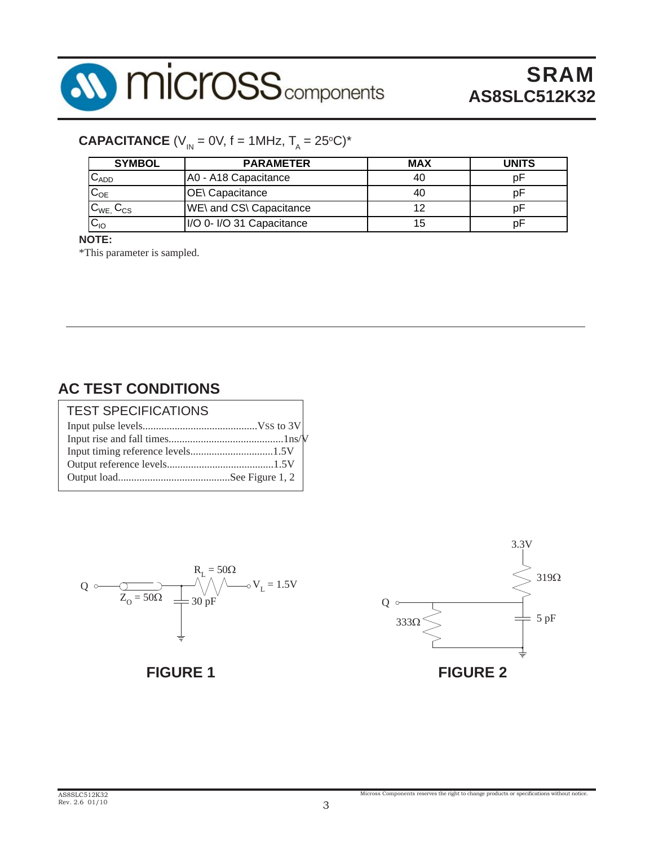

# **CAPACITANCE** (V<sub>IN</sub> = 0V, f = 1MHz, T<sub>A</sub> = 25°C)\*

| <b>SYMBOL</b>       | <b>PARAMETER</b>          | <b>MAX</b> | <b>UNITS</b> |
|---------------------|---------------------------|------------|--------------|
| $C_{ADD}$           | A0 - A18 Capacitance      | 40         |              |
| $C_{OE}$            | <b>OE</b> \ Capacitance   | 40         |              |
| $C_{WE}$ , $C_{CS}$ | WE\ and CS\ Capacitance   |            |              |
| $C_{10}$            | I/O 0- I/O 31 Capacitance | 15         |              |

**NOTE:**

\*This parameter is sampled.

### **AC TEST CONDITIONS**

| <b>TEST SPECIFICATIONS</b> |  |
|----------------------------|--|
|                            |  |
|                            |  |
|                            |  |
|                            |  |
|                            |  |



**FIGURE 1**

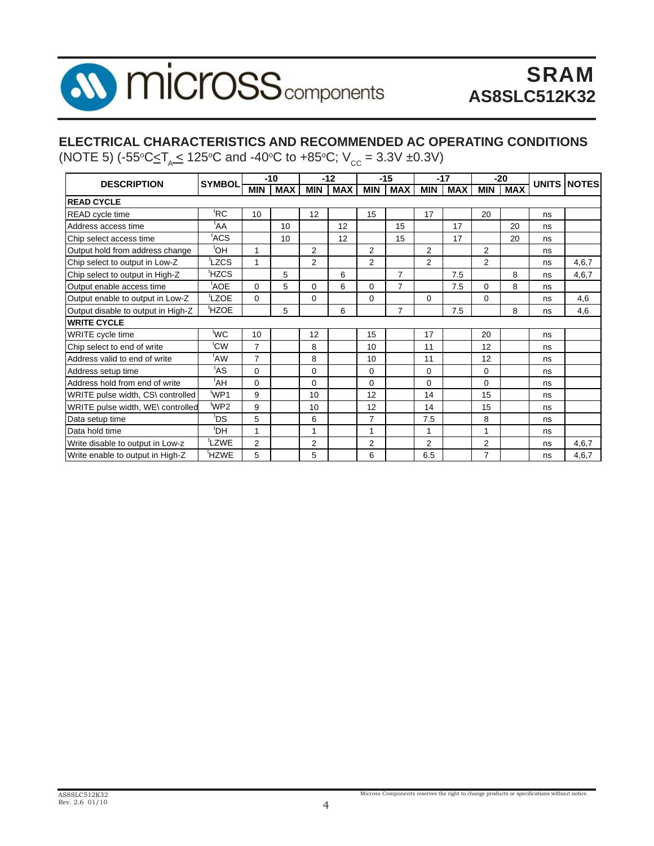

#### **ELECTRICAL CHARACTERISTICS AND RECOMMENDED AC OPERATING CONDITIONS**

(NOTE 5) (-55°C $\leq$ T<sub>A</sub> $\leq$  125°C and -40°C to +85°C; V<sub>cc</sub> = 3.3V ±0.3V)

|                                    | <b>SYMBOL</b>     |                | $-10$      |                | $-12$      |                | $-15$          |                | $-17$      |                | $-20$      |    |                    |
|------------------------------------|-------------------|----------------|------------|----------------|------------|----------------|----------------|----------------|------------|----------------|------------|----|--------------------|
| <b>DESCRIPTION</b>                 |                   | <b>MIN</b>     | <b>MAX</b> | <b>MIN</b>     | <b>MAX</b> | <b>MIN</b>     | <b>MAX</b>     | <b>MIN</b>     | <b>MAX</b> | <b>MIN</b>     | <b>MAX</b> |    | <b>UNITS NOTES</b> |
| <b>READ CYCLE</b>                  |                   |                |            |                |            |                |                |                |            |                |            |    |                    |
| <b>READ</b> cycle time             | <sup>t</sup> RC   | 10             |            | 12             |            | 15             |                | 17             |            | 20             |            | ns |                    |
| Address access time                | $A^{\dagger}$     |                | 10         |                | 12         |                | 15             |                | 17         |                | 20         | ns |                    |
| Chip select access time            | t <sub>ACS</sub>  |                | 10         |                | 12         |                | 15             |                | 17         |                | 20         | ns |                    |
| Output hold from address change    | <sup>t</sup> OH   | 1              |            | 2              |            | 2              |                | 2              |            | $\overline{2}$ |            | ns |                    |
| Chip select to output in Low-Z     | tLZCS             | 1              |            | $\mathcal{P}$  |            | 2              |                | 2              |            | $\overline{2}$ |            | ns | 4,6,7              |
| Chip select to output in High-Z    | <sup>t</sup> HZCS |                | 5          |                | 6          |                | $\overline{7}$ |                | 7.5        |                | 8          | ns | 4,6,7              |
| Output enable access time          | <sup>t</sup> AOE  | $\Omega$       | 5          | $\Omega$       | 6          | $\Omega$       | $\overline{7}$ |                | 7.5        | $\Omega$       | 8          | ns |                    |
| Output enable to output in Low-Z   | <sup>t</sup> LZOE | $\Omega$       |            | $\Omega$       |            | $\Omega$       |                | $\Omega$       |            | $\Omega$       |            | ns | 4,6                |
| Output disable to output in High-Z | <sup>t</sup> HZOE |                | 5          |                | 6          |                | $\overline{7}$ |                | 7.5        |                | 8          | ns | 4,6                |
| <b>WRITE CYCLE</b>                 |                   |                |            |                |            |                |                |                |            |                |            |    |                    |
| WRITE cycle time                   | 'WC               | 10             |            | 12             |            | 15             |                | 17             |            | 20             |            | ns |                    |
| Chip select to end of write        | t <sub>CW</sub>   | $\overline{7}$ |            | 8              |            | 10             |                | 11             |            | 12             |            | ns |                    |
| Address valid to end of write      | <sup>t</sup> AW   | $\overline{7}$ |            | 8              |            | 10             |                | 11             |            | 12             |            | ns |                    |
| Address setup time                 | <sup>t</sup> AS   | $\Omega$       |            | $\Omega$       |            | $\Omega$       |                | $\Omega$       |            | $\Omega$       |            | ns |                    |
| Address hold from end of write     | tAH <sup>t</sup>  | 0              |            | $\Omega$       |            | $\Omega$       |                | $\Omega$       |            | 0              |            | ns |                    |
| WRITE pulse width, CS\ controlled  | <sup>t</sup> WP1  | 9              |            | 10             |            | 12             |                | 14             |            | 15             |            | ns |                    |
| WRITE pulse width, WE\ controlled  | <sup>t</sup> WP2  | 9              |            | 10             |            | 12             |                | 14             |            | 15             |            | ns |                    |
| Data setup time                    | tds'              | 5              |            | 6              |            | $\overline{7}$ |                | 7.5            |            | 8              |            | ns |                    |
| Data hold time                     | <sup>t</sup> DH   | 1              |            | 1              |            | 1              |                | 1              |            | 1              |            | ns |                    |
| Write disable to output in Low-z   | LZWE <sup>t</sup> | $\overline{2}$ |            | $\overline{2}$ |            | 2              |                | $\overline{2}$ |            | $\overline{2}$ |            | ns | 4,6,7              |
| Write enable to output in High-Z   | <sup>t</sup> HZWE | 5              |            | 5              |            | 6              |                | 6.5            |            | 7              |            | ns | 4,6,7              |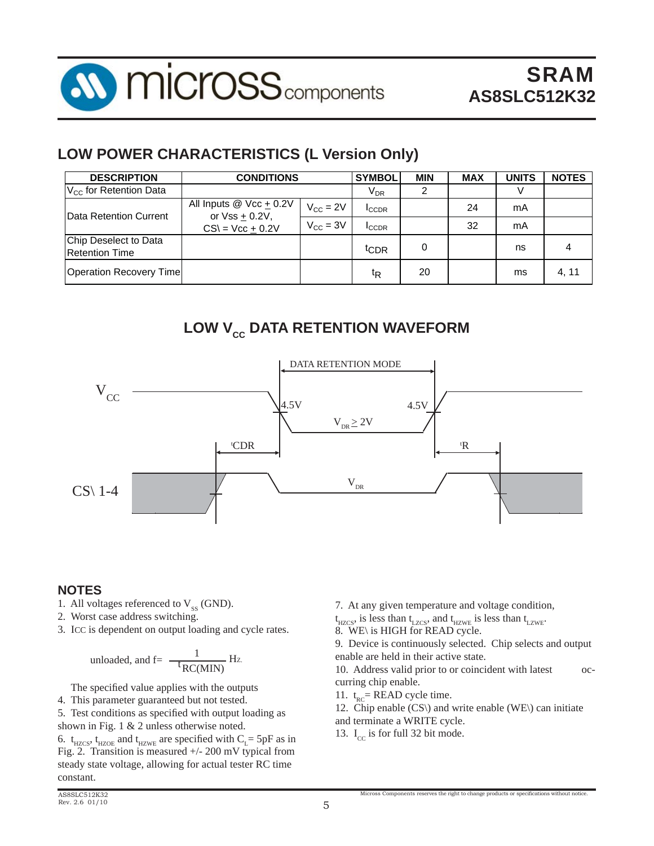

### **LOW POWER CHARACTERISTICS (L Version Only)**

| <b>DESCRIPTION</b>                             | <b>CONDITIONS</b>                                  | <b>SYMBOL</b>        | <b>MIN</b>                 | <b>MAX</b> | <b>UNITS</b> | <b>NOTES</b> |       |
|------------------------------------------------|----------------------------------------------------|----------------------|----------------------------|------------|--------------|--------------|-------|
| $V_{\text{cc}}$ for Retention Data             |                                                    |                      | $\mathsf{V}_{\mathsf{DR}}$ | 2          |              |              |       |
| <b>IData Retention Current</b>                 | All Inputs $@$ Vcc $\pm$ 0.2V<br>or $Vss + 0.2V$ , | $V_{CC} = 2V$        | <b>ICCDR</b>               |            | 24           | mA           |       |
|                                                | $CS = Vcc + 0.2V$                                  | $V_{\text{CC}} = 3V$ | <b>ICCDR</b>               |            | 32           | mA           |       |
| Chip Deselect to Data<br><b>Retention Time</b> |                                                    |                      | t <sub>CDR</sub>           | 0          |              | ns           |       |
| <b>Operation Recovery Time</b>                 |                                                    |                      | ŧR                         | 20         |              | ms           | 4, 11 |

# **LOW V<sub>cc</sub> DATA RETENTION WAVEFORM**



#### **NOTES**

- 1. All voltages referenced to  $V_{ss}$  (GND).
- 2. Worst case address switching.
- 3. ICC is dependent on output loading and cycle rates.

unloaded, and f=
$$
\frac{1}{\text{t}_{RC(MIN)}}\text{Hz}
$$

The specified value applies with the outputs

4. This parameter guaranteed but not tested.

5. Test conditions as specified with output loading as shown in Fig. 1 & 2 unless otherwise noted.

6.  $t_{HZCS}$ ,  $t_{HZOE}$  and  $t_{HZWE}$  are specified with  $C_{L}$ = 5pF as in Fig. 2. Transition is measured +/- 200 mV typical from steady state voltage, allowing for actual tester RC time constant.

7. At any given temperature and voltage condition,

 $t_{\text{HZCS}}$ , is less than  $t_{\text{LZCS}}$ , and  $t_{\text{HZWE}}$  is less than  $t_{\text{LZWE}}$ .

8. WE\ is HIGH for READ cycle.

9. Device is continuously selected. Chip selects and output enable are held in their active state.

10. Address valid prior to or coincident with latest occurring chip enable.

- 11.  $t_{\text{pc}}$  = READ cycle time.
- 12. Chip enable (CS\) and write enable (WE\) can initiate

Micross Components reserves the right to change products or specifications without notice

- and terminate a WRITE cycle.
- 13.  $I_{cc}$  is for full 32 bit mode.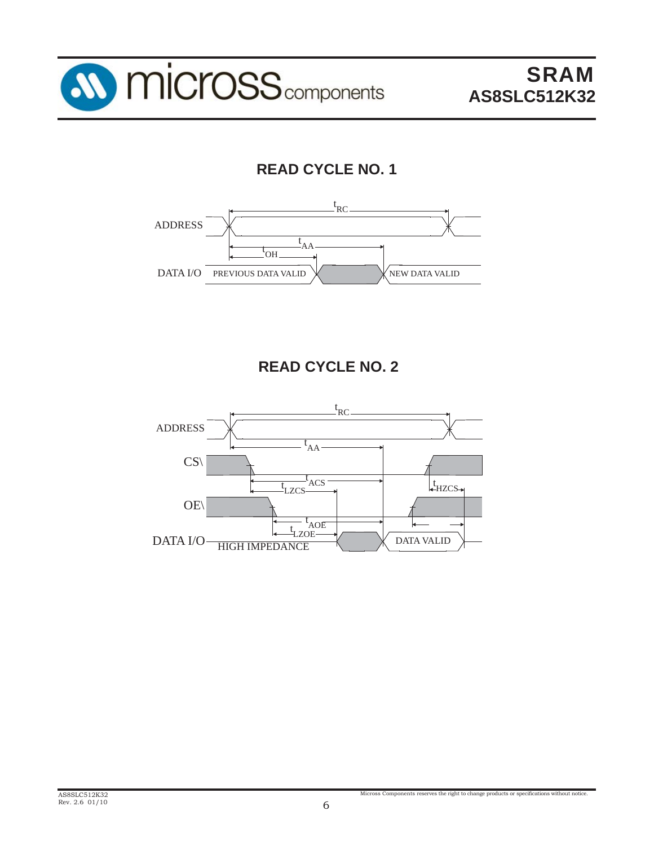

# **READ CYCLE NO. 1**



# **READ CYCLE NO. 2**

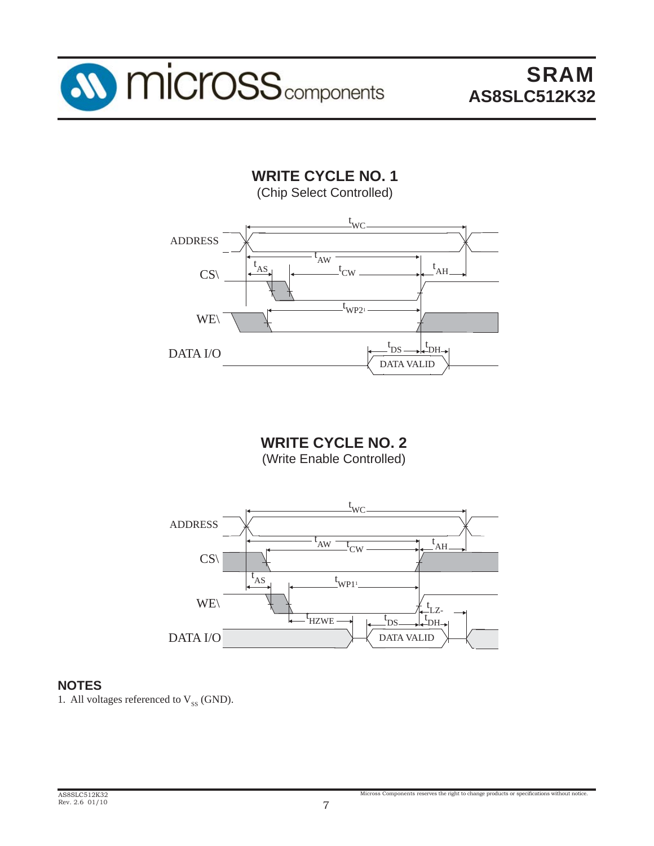

**WRITE CYCLE NO. 1** (Chip Select Controlled)



**WRITE CYCLE NO. 2** (Write Enable Controlled)



#### **NOTES**

1. All voltages referenced to  $V_{ss}$  (GND).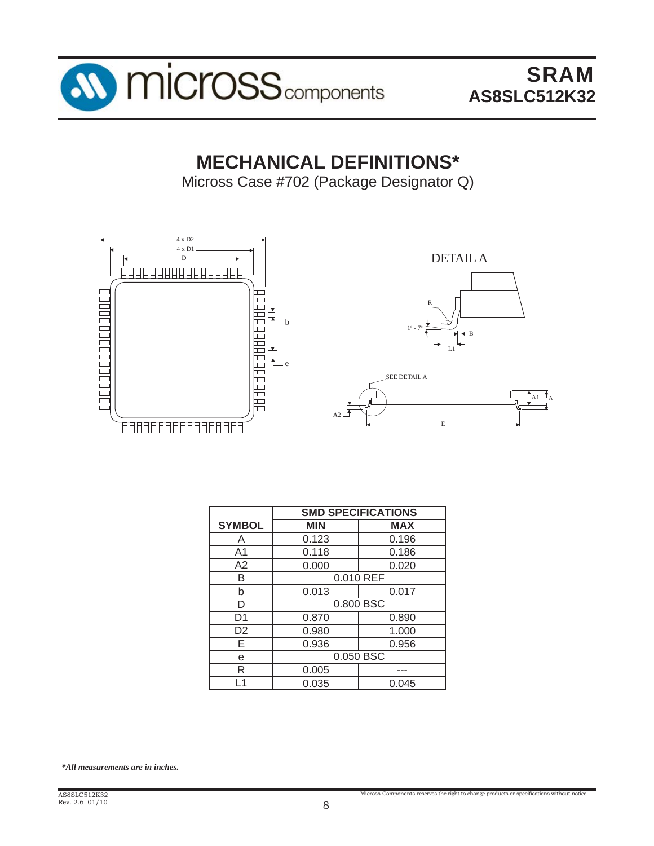

# **MECHANICAL DEFINITIONS\***

Micross Case #702 (Package Designator Q)



|                | <b>SMD SPECIFICATIONS</b> |            |  |  |  |  |  |
|----------------|---------------------------|------------|--|--|--|--|--|
| <b>SYMBOL</b>  | <b>MIN</b>                | <b>MAX</b> |  |  |  |  |  |
| Α              | 0.123                     | 0.196      |  |  |  |  |  |
| A <sub>1</sub> | 0.118                     | 0.186      |  |  |  |  |  |
| A2             | 0.000                     | 0.020      |  |  |  |  |  |
| R              | 0.010 REF                 |            |  |  |  |  |  |
| b              | 0.013                     | 0.017      |  |  |  |  |  |
| D              |                           | 0.800 BSC  |  |  |  |  |  |
| D1             | 0.870                     | 0.890      |  |  |  |  |  |
| D <sub>2</sub> | 0.980                     | 1.000      |  |  |  |  |  |
| F              | 0.936                     | 0.956      |  |  |  |  |  |
| e              | 0.050 BSC                 |            |  |  |  |  |  |
| R              | 0.005                     |            |  |  |  |  |  |
|                | 0.035                     | 0.045      |  |  |  |  |  |

*\*All measurements are in inches.*

Micross Components reserves the right to change products or specifications without notice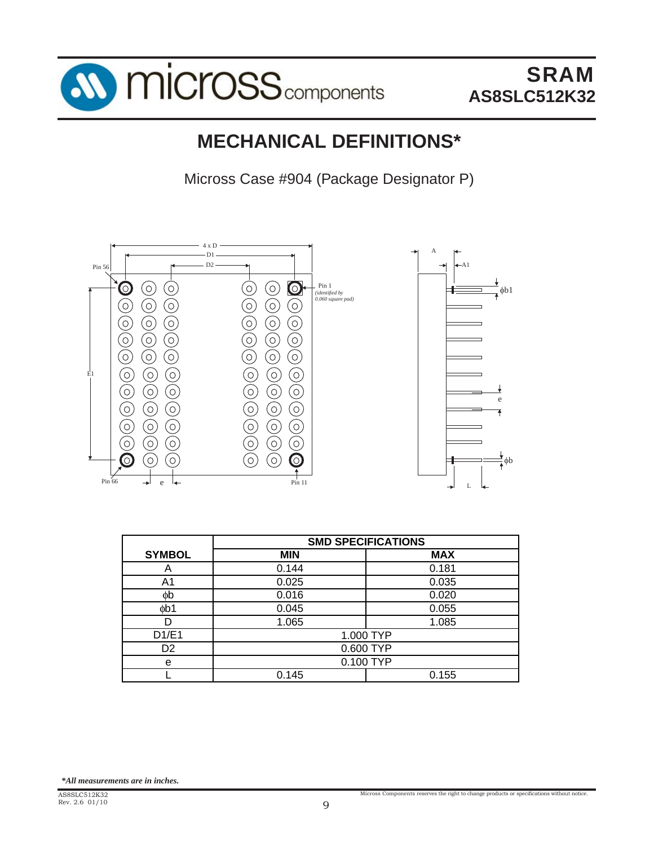

# **MECHANICAL DEFINITIONS\***

Micross Case #904 (Package Designator P)



|                | <b>SMD SPECIFICATIONS</b> |            |  |  |  |  |  |
|----------------|---------------------------|------------|--|--|--|--|--|
| <b>SYMBOL</b>  | <b>MIN</b>                | <b>MAX</b> |  |  |  |  |  |
| Α              | 0.144                     | 0.181      |  |  |  |  |  |
| A <sub>1</sub> | 0.025                     | 0.035      |  |  |  |  |  |
| фb             | 0.016                     | 0.020      |  |  |  |  |  |
| db1            | 0.045                     | 0.055      |  |  |  |  |  |
|                | 1.065                     | 1.085      |  |  |  |  |  |
| D1/E1          |                           | 1.000 TYP  |  |  |  |  |  |
| D <sub>2</sub> |                           | 0.600 TYP  |  |  |  |  |  |
| e              | 0.100 TYP                 |            |  |  |  |  |  |
|                | 0.145                     | 0.155      |  |  |  |  |  |
|                |                           |            |  |  |  |  |  |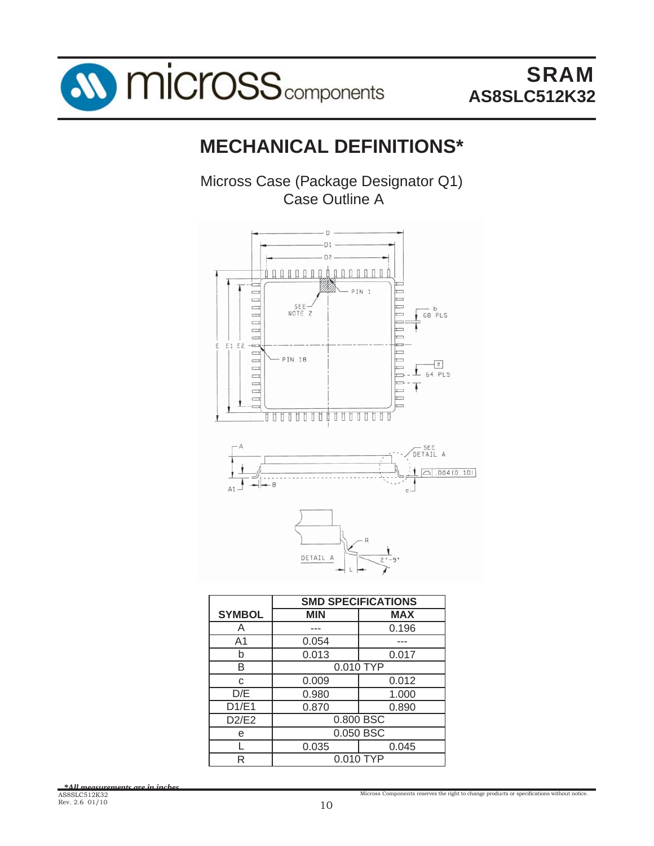

# **MECHANICAL DEFINITIONS\***

Micross Case (Package Designator Q1) Case Outline A



|               | <b>SMD SPECIFICATIONS</b> |            |  |  |  |  |  |
|---------------|---------------------------|------------|--|--|--|--|--|
| <b>SYMBOL</b> | <b>MIN</b>                | <b>MAX</b> |  |  |  |  |  |
| Α             |                           | 0.196      |  |  |  |  |  |
| A1            | 0.054                     |            |  |  |  |  |  |
| b             | 0.013                     | 0.017      |  |  |  |  |  |
| B             | 0.010 TYP                 |            |  |  |  |  |  |
| C             | 0.009                     | 0.012      |  |  |  |  |  |
| D/E           | 0.980                     | 1.000      |  |  |  |  |  |
| D1/E1         | 0.870                     | 0.890      |  |  |  |  |  |
| D2/E2         |                           | 0.800 BSC  |  |  |  |  |  |
| е             | 0.050 BSC                 |            |  |  |  |  |  |
|               | 0.035                     | 0.045      |  |  |  |  |  |
| R             | $0.010$ TYP               |            |  |  |  |  |  |

*\*All measurements are in inches.*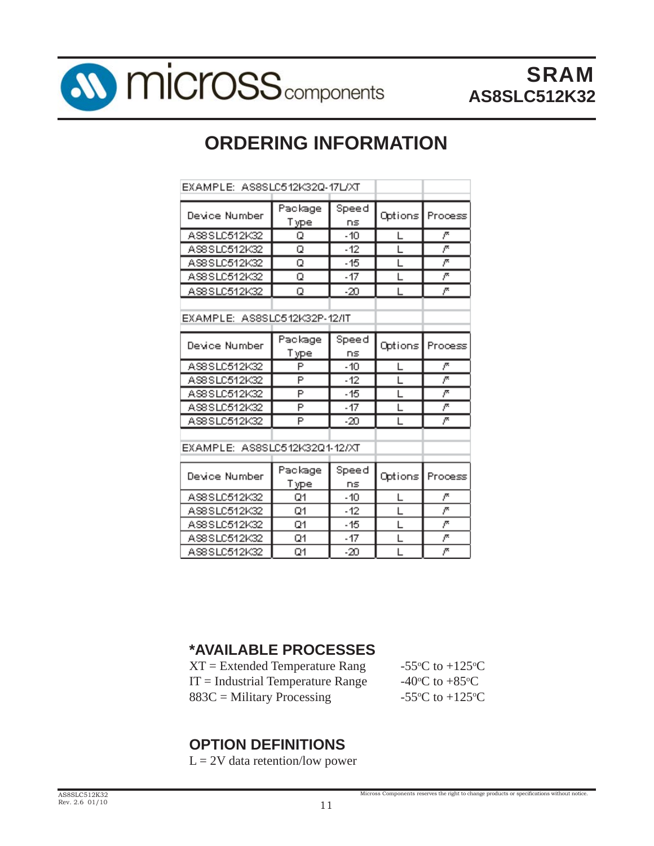

# **ORDERING INFORMATION**

| EXAMPLE: AS8SLC512K32Q-17L/XT |                        |             |         |              |  |  |  |
|-------------------------------|------------------------|-------------|---------|--------------|--|--|--|
| Device Number                 | Package<br>Type        | Speed<br>ns | Options | Process      |  |  |  |
| AS8SLC512K32                  | Q                      | $-10$       |         | r            |  |  |  |
| AS8SLC512K32                  | Q                      | $-12$       |         | r            |  |  |  |
| AS8SLC512K32                  | Q                      | $-15$       |         | Ā            |  |  |  |
| AS8SLC512K32                  | Q                      | $-17$       | ı       | Ā            |  |  |  |
| AS8SLC512K32                  | Q                      | -20         |         | ŗ.           |  |  |  |
| EXAMPLE: AS8SLC512K32P-12/IT  |                        |             |         |              |  |  |  |
| Device Number                 | Package<br>Type        | Speed<br>ns | Options | Process      |  |  |  |
| AS8SLC512K32                  | P                      | $-10$       |         | $\bar{\rho}$ |  |  |  |
| AS8SLC512K32                  | P                      | $-12$       |         | Ā            |  |  |  |
| AS8SLC512K32                  | P                      | -15         |         | ŗ.           |  |  |  |
| AS8SLC512K32                  | P                      | $-17$       |         | ₹            |  |  |  |
| AS8SLC512K32                  | P                      | $-20$       |         | r            |  |  |  |
| EXAMPLE: AS8SLC512K32Q1-12/XT |                        |             |         |              |  |  |  |
| Device Number                 | Package<br><u>Type</u> | Speed<br>ns | Options | Process      |  |  |  |
| AS8SLC512K32                  | Q1                     | - 10        |         | r            |  |  |  |
| AS8SLC512K32                  | Q1                     | $-12$       |         | Ā            |  |  |  |
| AS8SLC512K32                  | Q1                     | -15         | L       | ŗ.           |  |  |  |
| AS8SLC512K32                  | Q1                     | $-17$       |         | ŗ.           |  |  |  |
| AS8 SLC 512K32                | Q1                     | -20         |         | r            |  |  |  |

#### **\*AVAILABLE PROCESSES**

| $XT = Extended Temperature Range$   | -55 $\mathrm{^{\circ}C}$ to +125 $\mathrm{^{\circ}C}$ |
|-------------------------------------|-------------------------------------------------------|
| $IT = Industrial Temperature Range$ | -40 <sup>o</sup> C to +85 <sup>o</sup> C              |
| $883C =$ Military Processing        | -55 $\mathrm{^{\circ}C}$ to +125 $\mathrm{^{\circ}C}$ |

### **OPTION DEFINITIONS**

 $L = 2V$  data retention/low power

Micross Components reserves the right to change products or specifications without notice.